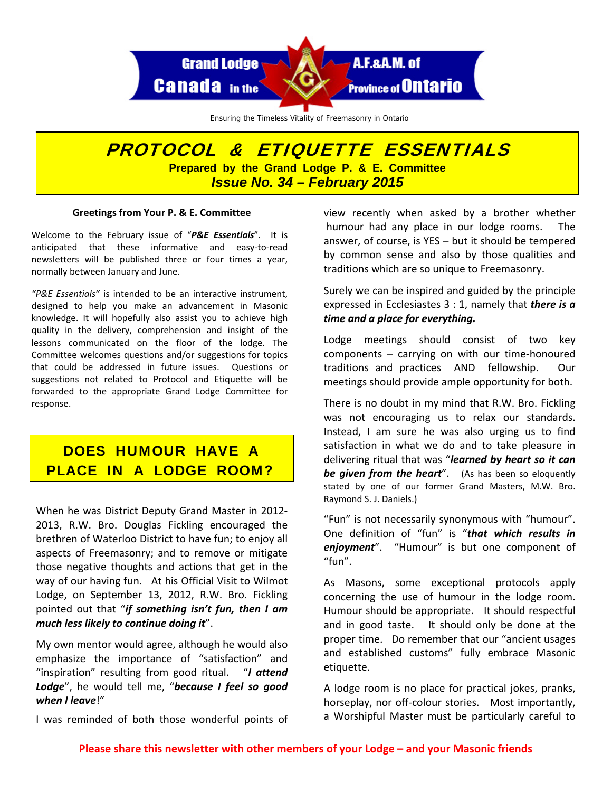

Ensuring the Timeless Vitality of Freemasonry in Ontario

## PROTOCOL & ETIQUETTE ESSENTIALS **Prepared by the Grand Lodge P. & E. Committee**  *Issue No. 34 – February 2015*

## **Greetings from Your P. & E. Committee**

Welcome to the February issue of "*P&E Essentials*". It is anticipated that these informative and easy‐to‐read newsletters will be published three or four times a year, normally between January and June.

*"P&E Essentials"* is intended to be an interactive instrument, designed to help you make an advancement in Masonic knowledge. It will hopefully also assist you to achieve high quality in the delivery, comprehension and insight of the lessons communicated on the floor of the lodge. The Committee welcomes questions and/or suggestions for topics that could be addressed in future issues. Questions or suggestions not related to Protocol and Etiquette will be forwarded to the appropriate Grand Lodge Committee for response.

## DOES HUMOUR HAVE A PLACE IN A LODGE ROOM?

When he was District Deputy Grand Master in 2012‐ 2013, R.W. Bro. Douglas Fickling encouraged the brethren of Waterloo District to have fun; to enjoy all aspects of Freemasonry; and to remove or mitigate those negative thoughts and actions that get in the way of our having fun. At his Official Visit to Wilmot Lodge, on September 13, 2012, R.W. Bro. Fickling pointed out that "*if something isn't fun, then I am much less likely to continue doing it*".

My own mentor would agree, although he would also emphasize the importance of "satisfaction" and "inspiration" resulting from good ritual. "*I attend Lodge*", he would tell me, "*because I feel so good when I leave*!"

I was reminded of both those wonderful points of

view recently when asked by a brother whether humour had any place in our lodge rooms. The answer, of course, is YES – but it should be tempered by common sense and also by those qualities and traditions which are so unique to Freemasonry.

Surely we can be inspired and guided by the principle expressed in Ecclesiastes 3 : 1, namely that *there is a time and a place for everything.*

Lodge meetings should consist of two key  $components - carrying on with our time-honoured$ traditions and practices AND fellowship. Our meetings should provide ample opportunity for both.

There is no doubt in my mind that R.W. Bro. Fickling was not encouraging us to relax our standards. Instead, I am sure he was also urging us to find satisfaction in what we do and to take pleasure in delivering ritual that was "*learned by heart so it can be given from the heart*". (As has been so eloquently stated by one of our former Grand Masters, M.W. Bro. Raymond S. J. Daniels.)

"Fun" is not necessarily synonymous with "humour". One definition of "fun" is "*that which results in enjoyment*". "Humour" is but one component of "fun".

As Masons, some exceptional protocols apply concerning the use of humour in the lodge room. Humour should be appropriate. It should respectful and in good taste. It should only be done at the proper time. Do remember that our "ancient usages and established customs" fully embrace Masonic etiquette.

A lodge room is no place for practical jokes, pranks, horseplay, nor off-colour stories. Most importantly, a Worshipful Master must be particularly careful to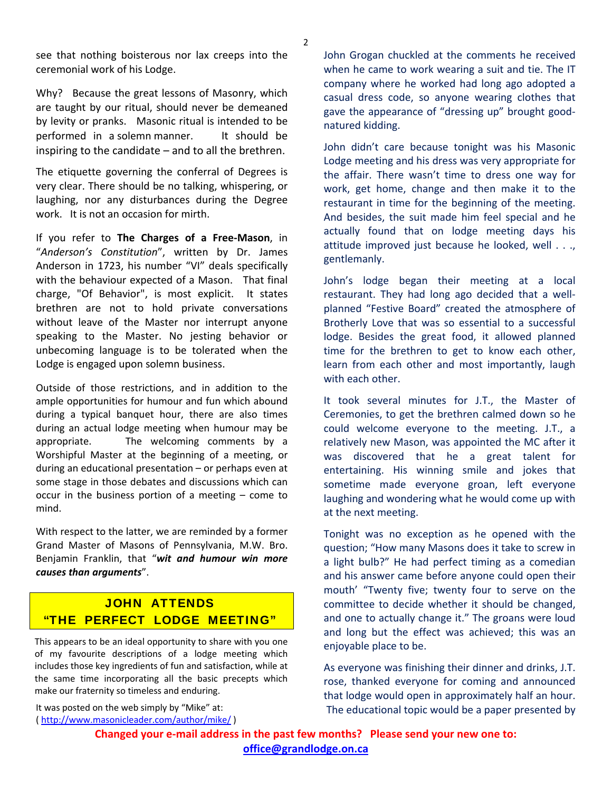see that nothing boisterous nor lax creeps into the ceremonial work of his Lodge.

Why? Because the great lessons of Masonry, which are taught by our ritual, should never be demeaned by levity or pranks. Masonic ritual is intended to be performed in a solemn manner. It should be inspiring to the candidate  $-$  and to all the brethren.

The etiquette governing the conferral of Degrees is very clear. There should be no talking, whispering, or laughing, nor any disturbances during the Degree work. It is not an occasion for mirth.

If you refer to **The Charges of a Free‐Mason**, in "*Anderson's Constitution*", written by Dr. James Anderson in 1723, his number "VI" deals specifically with the behaviour expected of a Mason. That final charge, "Of Behavior", is most explicit. It states brethren are not to hold private conversations without leave of the Master nor interrupt anyone speaking to the Master. No jesting behavior or unbecoming language is to be tolerated when the Lodge is engaged upon solemn business.

Outside of those restrictions, and in addition to the ample opportunities for humour and fun which abound during a typical banquet hour, there are also times during an actual lodge meeting when humour may be appropriate. The welcoming comments by a Worshipful Master at the beginning of a meeting, or during an educational presentation – or perhaps even at some stage in those debates and discussions which can occur in the business portion of a meeting – come to mind.

With respect to the latter, we are reminded by a former Grand Master of Masons of Pennsylvania, M.W. Bro. Benjamin Franklin, that "*wit and humour win more causes than arguments*".

## JOHN ATTENDS "THE PERFECT LODGE MEETING"

This appears to be an ideal opportunity to share with you one of my favourite descriptions of a lodge meeting which includes those key ingredients of fun and satisfaction, while at the same time incorporating all the basic precepts which make our fraternity so timeless and enduring.

It was posted on the web simply by "Mike" at: ( <http://www.masonicleader.com/author/mike/> ) John Grogan chuckled at the comments he received when he came to work wearing a suit and tie. The IT company where he worked had long ago adopted a casual dress code, so anyone wearing clothes that gave the appearance of "dressing up" brought good‐ natured kidding.

John didn't care because tonight was his Masonic Lodge meeting and his dress was very appropriate for the affair. There wasn't time to dress one way for work, get home, change and then make it to the restaurant in time for the beginning of the meeting. And besides, the suit made him feel special and he actually found that on lodge meeting days his attitude improved just because he looked, well . . ., gentlemanly.

John's lodge began their meeting at a local restaurant. They had long ago decided that a well‐ planned "Festive Board" created the atmosphere of Brotherly Love that was so essential to a successful lodge. Besides the great food, it allowed planned time for the brethren to get to know each other, learn from each other and most importantly, laugh with each other.

It took several minutes for J.T., the Master of Ceremonies, to get the brethren calmed down so he could welcome everyone to the meeting. J.T., a relatively new Mason, was appointed the MC after it was discovered that he a great talent for entertaining. His winning smile and jokes that sometime made everyone groan, left everyone laughing and wondering what he would come up with at the next meeting.

Tonight was no exception as he opened with the question; "How many Masons does it take to screw in a light bulb?" He had perfect timing as a comedian and his answer came before anyone could open their mouth' "Twenty five; twenty four to serve on the committee to decide whether it should be changed, and one to actually change it." The groans were loud and long but the effect was achieved; this was an enjoyable place to be.

As everyone was finishing their dinner and drinks, J.T. rose, thanked everyone for coming and announced that lodge would open in approximately half an hour. The educational topic would be a paper presented by

**office@grandlodge.on.ca Changed your e‐mail address in the past few months? Please send your new one to:**